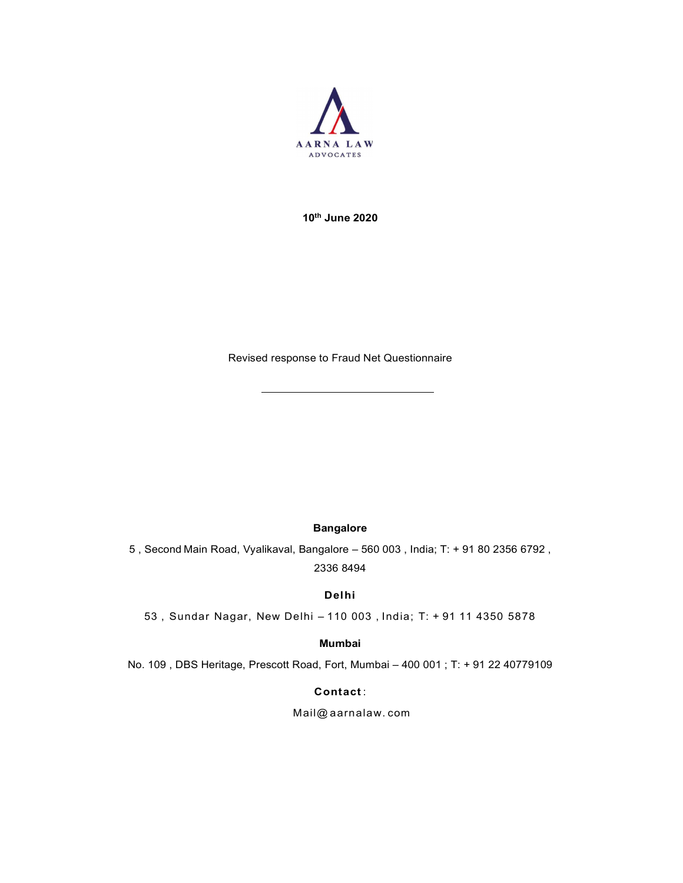

10th June 2020

Revised response to Fraud Net Questionnaire

### Bangalore

5 , Second Main Road, Vyalikaval, Bangalore – 560 003 , India; T: + 91 80 2356 6792 , 2336 8494

### Delhi

53 , Sundar Nagar, New Delhi – 110 003 , India; T: + 91 11 4350 5878

### Mumbai

No. 109 , DBS Heritage, Prescott Road, Fort, Mumbai – 400 001 ; T: + 91 22 40779109

Contact :

Mail@ aarnalaw. com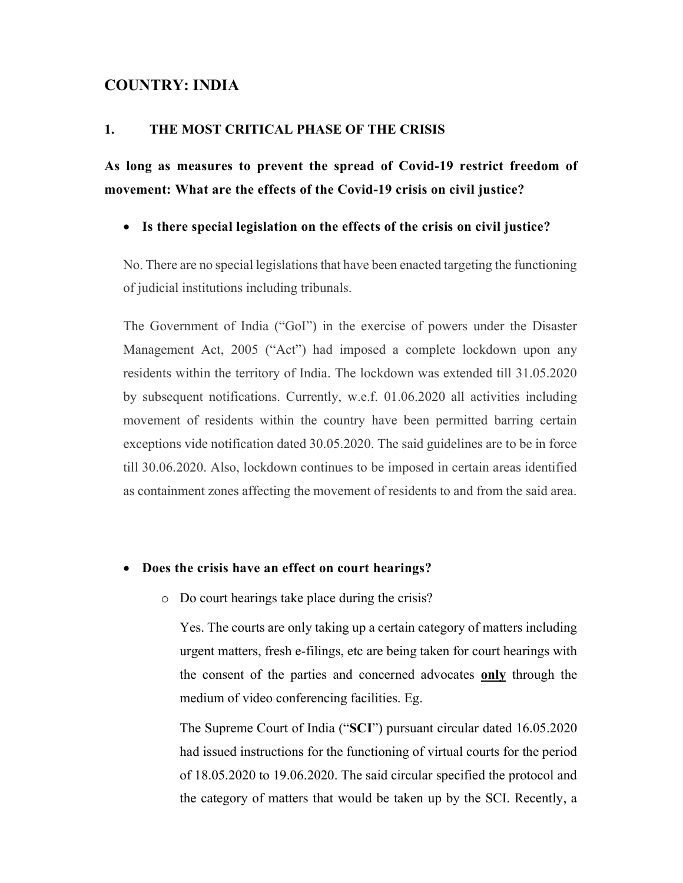# COUNTRY: INDIA

# 1. THE MOST CRITICAL PHASE OF THE CRISIS

As long as measures to prevent the spread of Covid-19 restrict freedom of movement: What are the effects of the Covid-19 crisis on civil justice?

### Is there special legislation on the effects of the crisis on civil justice?

No. There are no special legislations that have been enacted targeting the functioning of judicial institutions including tribunals.

The Government of India ("GoI") in the exercise of powers under the Disaster Management Act, 2005 ("Act") had imposed a complete lockdown upon any residents within the territory of India. The lockdown was extended till 31.05.2020 by subsequent notifications. Currently, w.e.f. 01.06.2020 all activities including movement of residents within the country have been permitted barring certain exceptions vide notification dated 30.05.2020. The said guidelines are to be in force till 30.06.2020. Also, lockdown continues to be imposed in certain areas identified as containment zones affecting the movement of residents to and from the said area.

#### Does the crisis have an effect on court hearings?

o Do court hearings take place during the crisis?

Yes. The courts are only taking up a certain category of matters including urgent matters, fresh e-filings, etc are being taken for court hearings with the consent of the parties and concerned advocates only through the medium of video conferencing facilities. Eg.

The Supreme Court of India ("SCI") pursuant circular dated 16.05.2020 had issued instructions for the functioning of virtual courts for the period of 18.05.2020 to 19.06.2020. The said circular specified the protocol and the category of matters that would be taken up by the SCI. Recently, a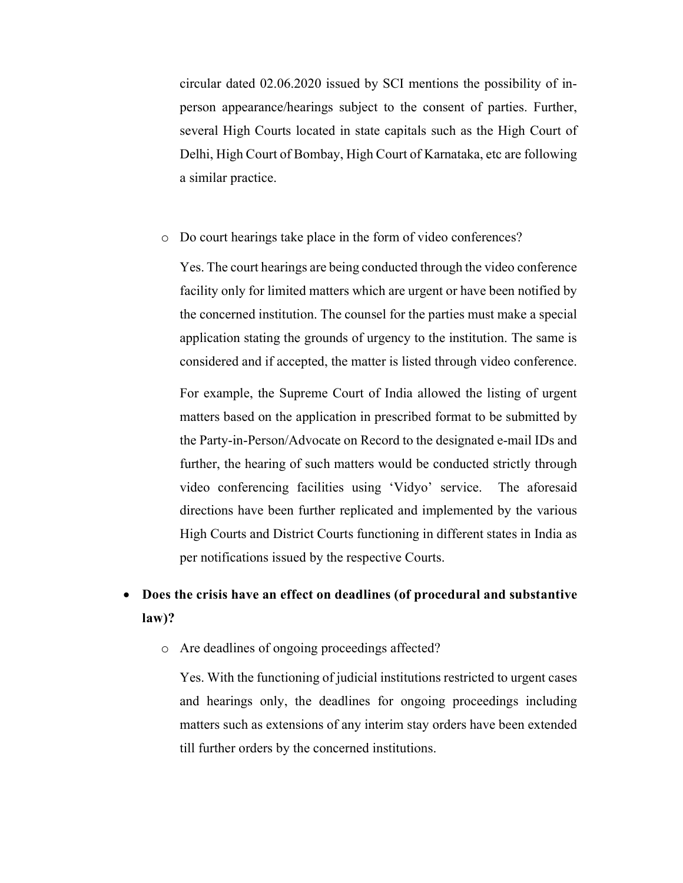circular dated 02.06.2020 issued by SCI mentions the possibility of inperson appearance/hearings subject to the consent of parties. Further, several High Courts located in state capitals such as the High Court of Delhi, High Court of Bombay, High Court of Karnataka, etc are following a similar practice.

o Do court hearings take place in the form of video conferences?

Yes. The court hearings are being conducted through the video conference facility only for limited matters which are urgent or have been notified by the concerned institution. The counsel for the parties must make a special application stating the grounds of urgency to the institution. The same is considered and if accepted, the matter is listed through video conference.

For example, the Supreme Court of India allowed the listing of urgent matters based on the application in prescribed format to be submitted by the Party-in-Person/Advocate on Record to the designated e-mail IDs and further, the hearing of such matters would be conducted strictly through video conferencing facilities using 'Vidyo' service. The aforesaid directions have been further replicated and implemented by the various High Courts and District Courts functioning in different states in India as per notifications issued by the respective Courts.

# Does the crisis have an effect on deadlines (of procedural and substantive law)?

o Are deadlines of ongoing proceedings affected?

Yes. With the functioning of judicial institutions restricted to urgent cases and hearings only, the deadlines for ongoing proceedings including matters such as extensions of any interim stay orders have been extended till further orders by the concerned institutions.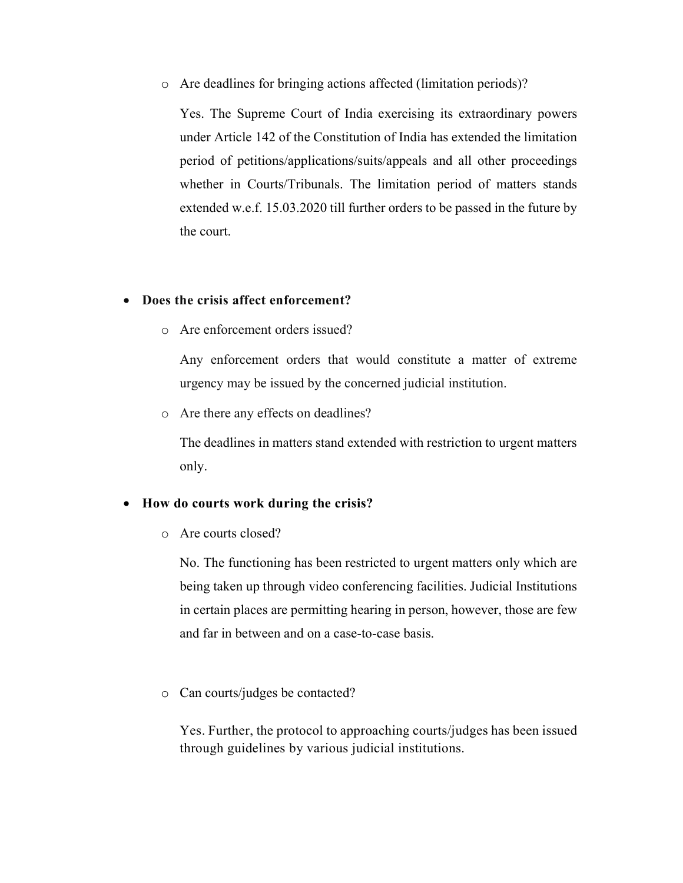o Are deadlines for bringing actions affected (limitation periods)?

Yes. The Supreme Court of India exercising its extraordinary powers under Article 142 of the Constitution of India has extended the limitation period of petitions/applications/suits/appeals and all other proceedings whether in Courts/Tribunals. The limitation period of matters stands extended w.e.f. 15.03.2020 till further orders to be passed in the future by the court.

# Does the crisis affect enforcement?

o Are enforcement orders issued?

Any enforcement orders that would constitute a matter of extreme urgency may be issued by the concerned judicial institution.

o Are there any effects on deadlines?

The deadlines in matters stand extended with restriction to urgent matters only.

# How do courts work during the crisis?

o Are courts closed?

No. The functioning has been restricted to urgent matters only which are being taken up through video conferencing facilities. Judicial Institutions in certain places are permitting hearing in person, however, those are few and far in between and on a case-to-case basis.

o Can courts/judges be contacted?

Yes. Further, the protocol to approaching courts/judges has been issued through guidelines by various judicial institutions.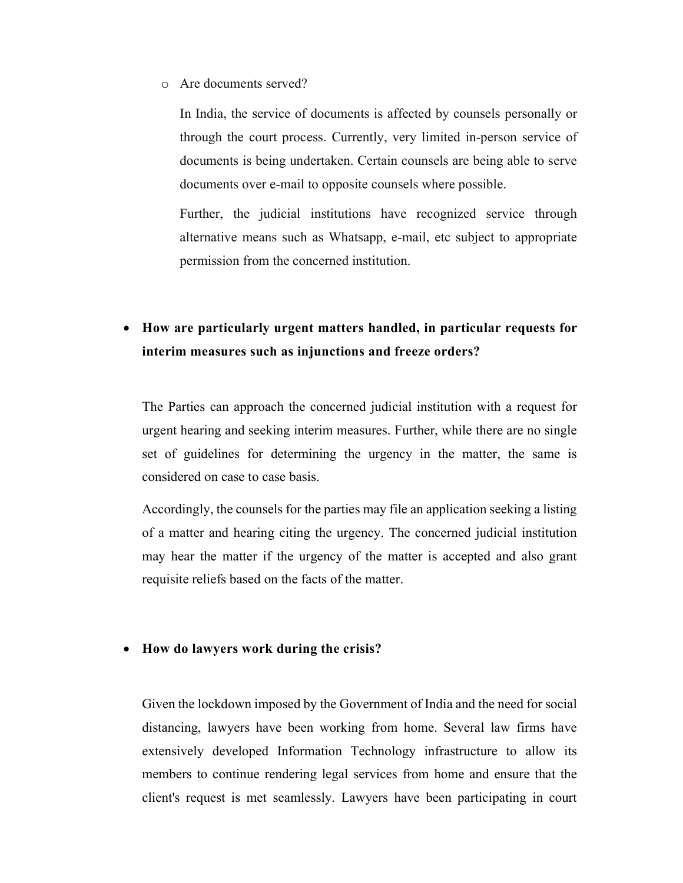o Are documents served?

In India, the service of documents is affected by counsels personally or through the court process. Currently, very limited in-person service of documents is being undertaken. Certain counsels are being able to serve documents over e-mail to opposite counsels where possible.

Further, the judicial institutions have recognized service through alternative means such as Whatsapp, e-mail, etc subject to appropriate permission from the concerned institution.

 How are particularly urgent matters handled, in particular requests for interim measures such as injunctions and freeze orders?

The Parties can approach the concerned judicial institution with a request for urgent hearing and seeking interim measures. Further, while there are no single set of guidelines for determining the urgency in the matter, the same is considered on case to case basis.

Accordingly, the counsels for the parties may file an application seeking a listing of a matter and hearing citing the urgency. The concerned judicial institution may hear the matter if the urgency of the matter is accepted and also grant requisite reliefs based on the facts of the matter.

### How do lawyers work during the crisis?

Given the lockdown imposed by the Government of India and the need for social distancing, lawyers have been working from home. Several law firms have extensively developed Information Technology infrastructure to allow its members to continue rendering legal services from home and ensure that the client's request is met seamlessly. Lawyers have been participating in court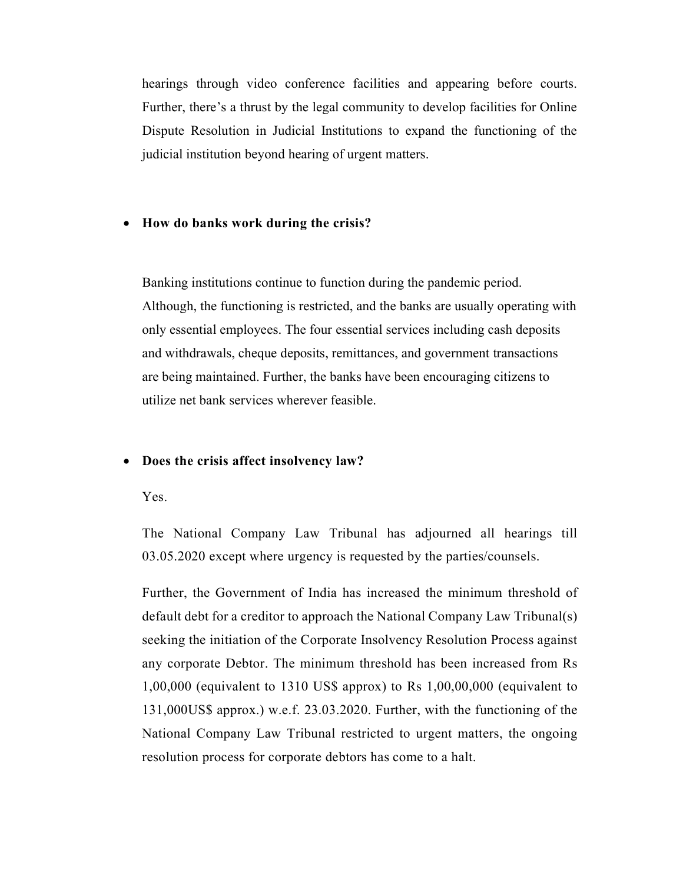hearings through video conference facilities and appearing before courts. Further, there's a thrust by the legal community to develop facilities for Online Dispute Resolution in Judicial Institutions to expand the functioning of the judicial institution beyond hearing of urgent matters.

### How do banks work during the crisis?

Banking institutions continue to function during the pandemic period. Although, the functioning is restricted, and the banks are usually operating with only essential employees. The four essential services including cash deposits and withdrawals, cheque deposits, remittances, and government transactions are being maintained. Further, the banks have been encouraging citizens to utilize net bank services wherever feasible.

### Does the crisis affect insolvency law?

Yes.

The National Company Law Tribunal has adjourned all hearings till 03.05.2020 except where urgency is requested by the parties/counsels.

Further, the Government of India has increased the minimum threshold of default debt for a creditor to approach the National Company Law Tribunal(s) seeking the initiation of the Corporate Insolvency Resolution Process against any corporate Debtor. The minimum threshold has been increased from Rs 1,00,000 (equivalent to 1310 US\$ approx) to Rs 1,00,00,000 (equivalent to 131,000US\$ approx.) w.e.f. 23.03.2020. Further, with the functioning of the National Company Law Tribunal restricted to urgent matters, the ongoing resolution process for corporate debtors has come to a halt.